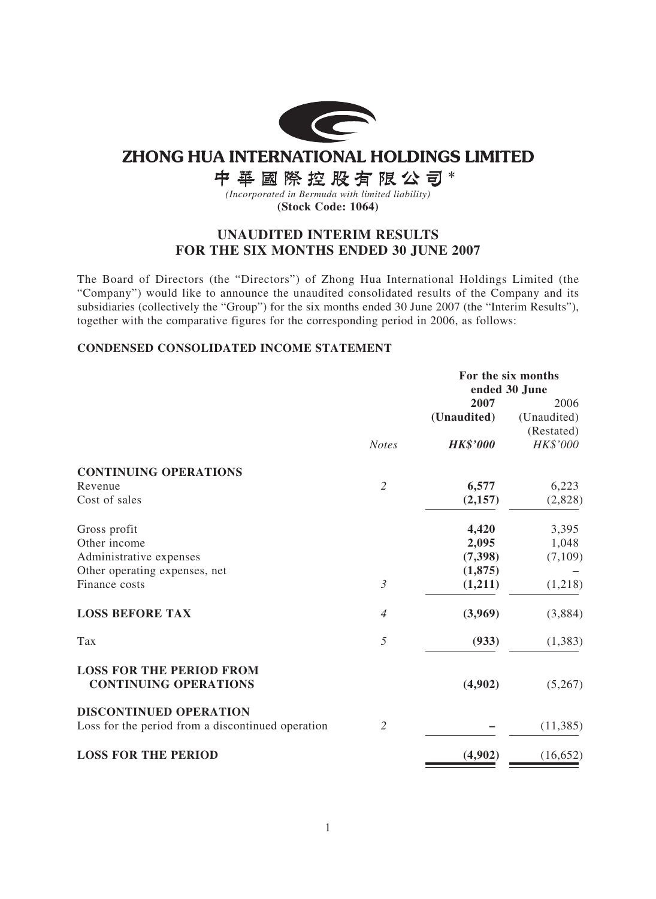

# **ZHONG HUA INTERNATIONAL HOLDINGS LIMITED**

中華國際控股有限公司\*

*(Incorporated in Bermuda with limited liability)* **(Stock Code: 1064)**

# **UNAUDITED INTERIM RESULTS FOR THE SIX MONTHS ENDED 30 JUNE 2007**

The Board of Directors (the "Directors") of Zhong Hua International Holdings Limited (the "Company") would like to announce the unaudited consolidated results of the Company and its subsidiaries (collectively the "Group") for the six months ended 30 June 2007 (the "Interim Results"), together with the comparative figures for the corresponding period in 2006, as follows:

# **CONDENSED CONSOLIDATED INCOME STATEMENT**

|                                                                 |                | For the six months |               |  |
|-----------------------------------------------------------------|----------------|--------------------|---------------|--|
|                                                                 |                |                    | ended 30 June |  |
|                                                                 |                | 2007               | 2006          |  |
|                                                                 |                | (Unaudited)        | (Unaudited)   |  |
|                                                                 |                |                    | (Restated)    |  |
|                                                                 | <b>Notes</b>   | <b>HK\$'000</b>    | HK\$'000      |  |
| <b>CONTINUING OPERATIONS</b>                                    |                |                    |               |  |
| Revenue                                                         | $\overline{2}$ | 6,577              | 6,223         |  |
| Cost of sales                                                   |                | (2,157)            | (2,828)       |  |
| Gross profit                                                    |                | 4,420              | 3,395         |  |
| Other income                                                    |                | 2,095              | 1,048         |  |
| Administrative expenses                                         |                | (7,398)            | (7,109)       |  |
| Other operating expenses, net                                   |                | (1,875)            |               |  |
| Finance costs                                                   | $\mathfrak{Z}$ | (1,211)            | (1,218)       |  |
| <b>LOSS BEFORE TAX</b>                                          | $\overline{4}$ | (3,969)            | (3,884)       |  |
| Tax                                                             | 5              | (933)              | (1, 383)      |  |
| <b>LOSS FOR THE PERIOD FROM</b><br><b>CONTINUING OPERATIONS</b> |                | (4,902)            | (5,267)       |  |
| <b>DISCONTINUED OPERATION</b>                                   |                |                    |               |  |
| Loss for the period from a discontinued operation               | $\mathfrak{2}$ |                    | (11, 385)     |  |
| <b>LOSS FOR THE PERIOD</b>                                      |                | (4,902)            | (16, 652)     |  |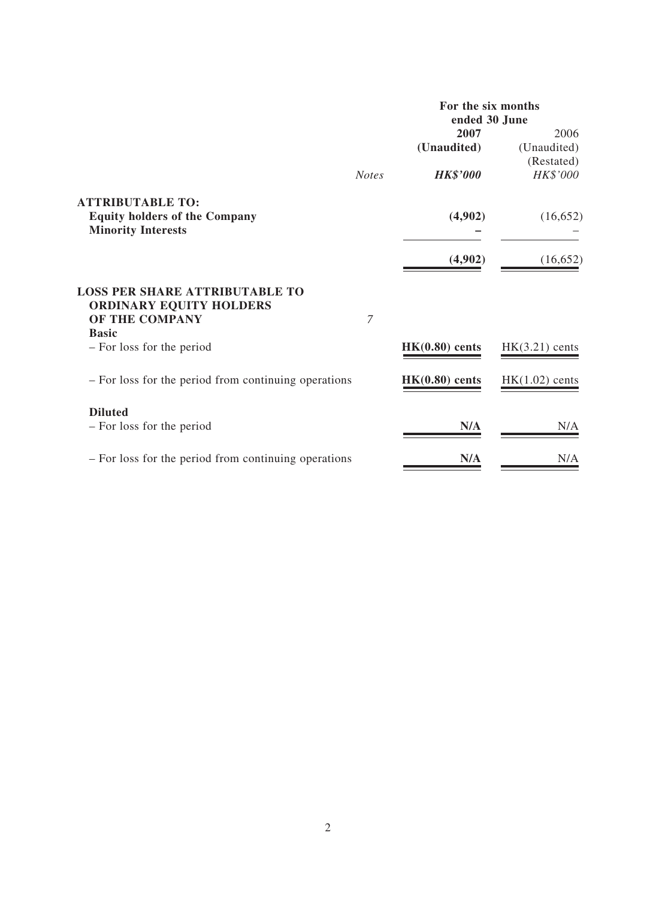|                                                                                           |                | For the six months<br>ended 30 June |                  |  |  |
|-------------------------------------------------------------------------------------------|----------------|-------------------------------------|------------------|--|--|
|                                                                                           |                | 2007                                | 2006             |  |  |
|                                                                                           |                | (Unaudited)                         | (Unaudited)      |  |  |
|                                                                                           |                |                                     | (Restated)       |  |  |
|                                                                                           | <b>Notes</b>   | <b>HK\$'000</b>                     | HK\$'000         |  |  |
| <b>ATTRIBUTABLE TO:</b>                                                                   |                |                                     |                  |  |  |
| <b>Equity holders of the Company</b><br><b>Minority Interests</b>                         |                | (4,902)                             | (16, 652)        |  |  |
|                                                                                           |                | (4,902)                             | (16, 652)        |  |  |
| <b>LOSS PER SHARE ATTRIBUTABLE TO</b><br><b>ORDINARY EQUITY HOLDERS</b><br>OF THE COMPANY | $\overline{7}$ |                                     |                  |  |  |
| <b>Basic</b><br>- For loss for the period                                                 |                | $HK(0.80)$ cents                    | $HK(3.21)$ cents |  |  |
| - For loss for the period from continuing operations                                      |                | $HK(0.80)$ cents                    | $HK(1.02)$ cents |  |  |
| <b>Diluted</b>                                                                            |                |                                     |                  |  |  |
| - For loss for the period                                                                 |                | N/A                                 | N/A              |  |  |
| - For loss for the period from continuing operations                                      |                | N/A                                 | N/A              |  |  |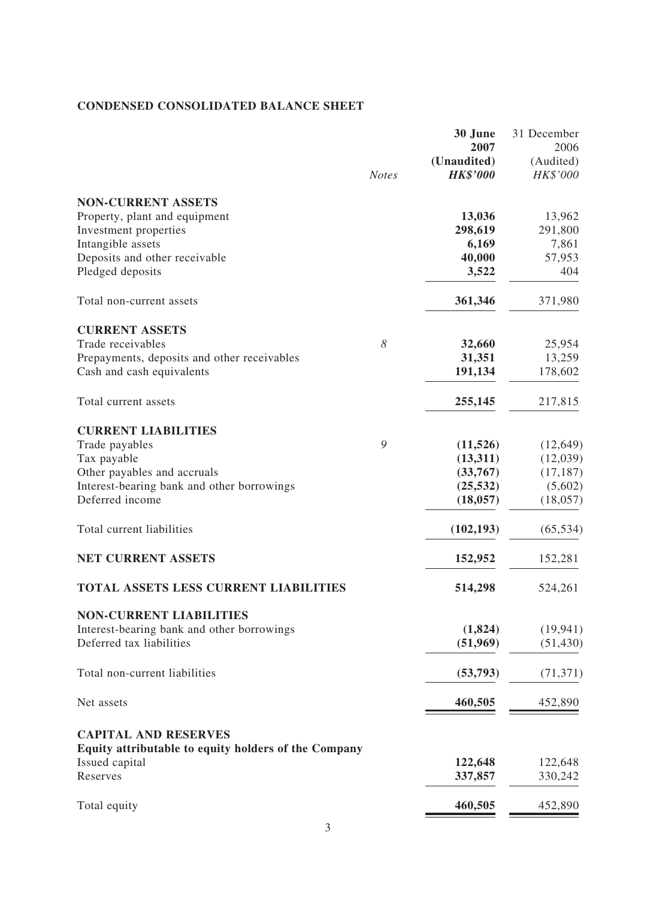# **CONDENSED CONSOLIDATED BALANCE SHEET**

|                                                                        | <b>Notes</b> | 30 June<br>2007<br>(Unaudited)<br><b>HK\$'000</b> | 31 December<br>2006<br>(Audited)<br>HK\$'000 |
|------------------------------------------------------------------------|--------------|---------------------------------------------------|----------------------------------------------|
| <b>NON-CURRENT ASSETS</b>                                              |              |                                                   |                                              |
| Property, plant and equipment                                          |              | 13,036                                            | 13,962                                       |
| Investment properties                                                  |              | 298,619                                           | 291,800                                      |
| Intangible assets                                                      |              | 6,169                                             | 7,861                                        |
| Deposits and other receivable                                          |              | 40,000                                            | 57,953                                       |
| Pledged deposits                                                       |              | 3,522                                             | 404                                          |
| Total non-current assets                                               |              | 361,346                                           | 371,980                                      |
| <b>CURRENT ASSETS</b>                                                  |              |                                                   |                                              |
| Trade receivables                                                      | 8            | 32,660                                            | 25,954                                       |
| Prepayments, deposits and other receivables                            |              | 31,351                                            | 13,259                                       |
| Cash and cash equivalents                                              |              | 191,134                                           | 178,602                                      |
| Total current assets                                                   |              | 255,145                                           | 217,815                                      |
| <b>CURRENT LIABILITIES</b>                                             |              |                                                   |                                              |
| Trade payables                                                         | 9            | (11,526)                                          | (12, 649)                                    |
| Tax payable                                                            |              | (13,311)                                          | (12,039)                                     |
| Other payables and accruals                                            |              | (33,767)                                          | (17, 187)                                    |
| Interest-bearing bank and other borrowings                             |              | (25, 532)                                         | (5,602)                                      |
| Deferred income                                                        |              | (18, 057)                                         | (18, 057)                                    |
| Total current liabilities                                              |              | (102, 193)                                        | (65, 534)                                    |
| <b>NET CURRENT ASSETS</b>                                              |              | 152,952                                           | 152,281                                      |
| <b>TOTAL ASSETS LESS CURRENT LIABILIT</b>                              |              | 514,298                                           | 524,261                                      |
| <b>NON-CURRENT LIABILITIES</b>                                         |              |                                                   |                                              |
| Interest-bearing bank and other borrowings                             |              | (1,824)                                           | (19, 941)                                    |
| Deferred tax liabilities                                               |              | (51,969)                                          | (51, 430)                                    |
| Total non-current liabilities                                          |              | (53,793)                                          | (71, 371)                                    |
| Net assets                                                             |              | 460,505                                           | 452,890                                      |
| <b>CAPITAL AND RESERVES</b>                                            |              |                                                   |                                              |
| Equity attributable to equity holders of the Company<br>Issued capital |              | 122,648                                           | 122,648                                      |
| Reserves                                                               |              | 337,857                                           | 330,242                                      |
| Total equity                                                           |              | 460,505                                           | 452,890                                      |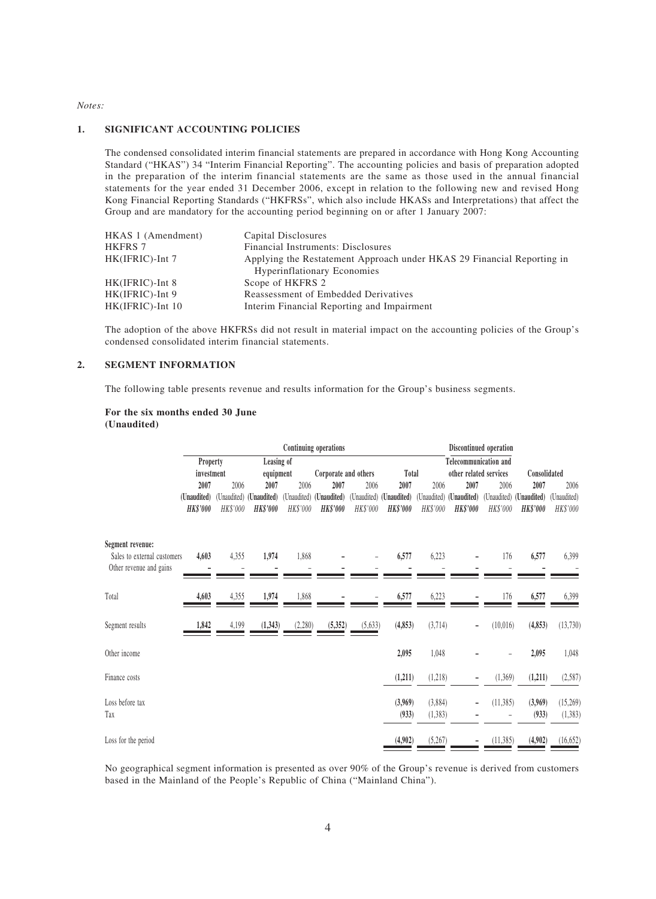#### *Notes:*

#### **1. SIGNIFICANT ACCOUNTING POLICIES**

The condensed consolidated interim financial statements are prepared in accordance with Hong Kong Accounting Standard ("HKAS") 34 "Interim Financial Reporting". The accounting policies and basis of preparation adopted in the preparation of the interim financial statements are the same as those used in the annual financial statements for the year ended 31 December 2006, except in relation to the following new and revised Hong Kong Financial Reporting Standards ("HKFRSs", which also include HKASs and Interpretations) that affect the Group and are mandatory for the accounting period beginning on or after 1 January 2007:

| HKAS 1 (Amendment) | Capital Disclosures                                                    |
|--------------------|------------------------------------------------------------------------|
| <b>HKFRS 7</b>     | Financial Instruments: Disclosures                                     |
| $HK(IFRIC)$ -Int 7 | Applying the Restatement Approach under HKAS 29 Financial Reporting in |
|                    | <b>Hyperinflationary Economies</b>                                     |
| $HK(IFRIC)$ -Int 8 | Scope of HKFRS 2                                                       |
| HK(IFRIC)-Int 9    | Reassessment of Embedded Derivatives                                   |
| HK(IFRIC)-Int 10   | Interim Financial Reporting and Impairment                             |

The adoption of the above HKFRSs did not result in material impact on the accounting policies of the Group's condensed consolidated interim financial statements.

#### **2. SEGMENT INFORMATION**

The following table presents revenue and results information for the Group's business segments.

#### **For the six months ended 30 June (Unaudited)**

|                             |                 |             |                 |          | Continuing operations   |          |                         |             |                              | Discontinued operation |                 |            |
|-----------------------------|-----------------|-------------|-----------------|----------|-------------------------|----------|-------------------------|-------------|------------------------------|------------------------|-----------------|------------|
|                             | Property        |             | Leasing of      |          |                         |          |                         |             | <b>Telecommunication and</b> |                        |                 |            |
|                             | investment      |             | equipment       |          | Corporate and others    |          | Total                   |             | other related services       |                        | Consolidated    |            |
|                             | 2007            | 2006        | 2007            | 2006     | 2007                    | 2006     | 2007                    | 2006        | 2007                         | 2006                   | 2007            | 2006       |
|                             | (Unaudited)     | (Unaudited) | (Unaudited)     |          | (Unaudited) (Unaudited) |          | (Unaudited) (Unaudited) | (Unaudited) | (Unaudited)                  | (Unaudited)            | (Unaudited)     | Unaudited) |
|                             | <b>HK\$'000</b> | HK\$'000    | <b>HK\$'000</b> | HK\$'000 | <b>HK\$'000</b>         | HK\$'000 | <b>HK\$'000</b>         | HK\$'000    | <b>HK\$'000</b>              | HK\$'000               | <b>HK\$'000</b> | HK\$'000   |
| Segment revenue:            |                 |             |                 |          |                         |          |                         |             |                              |                        |                 |            |
| Sales to external customers | 4,603           | 4,355       | 1,974           | 1,868    |                         |          | 6,577                   | 6,223       |                              | 176                    | 6,577           | 6,399      |
| Other revenue and gains     |                 |             |                 |          |                         |          |                         |             |                              |                        |                 |            |
|                             |                 |             |                 |          |                         |          |                         |             |                              |                        |                 |            |
| Total                       | 4,603           | 4,355       | 1,974           | 1,868    |                         |          | 6,577                   | 6,223       |                              | 176                    | 6,577           | 6,399      |
| Segment results             | 1,842           | 4,199       | (1, 343)        | (2,280)  | (5, 352)                | (5, 633) | (4, 853)                | (3,714)     |                              | (10,016)               | (4, 853)        | (13, 730)  |
|                             |                 |             |                 |          |                         |          |                         |             | $\overline{\phantom{a}}$     |                        |                 |            |
| Other income                |                 |             |                 |          |                         |          | 2,095                   | 1,048       |                              |                        | 2,095           | 1,048      |
| Finance costs               |                 |             |                 |          |                         |          | (1,211)                 | (1,218)     | $\qquad \qquad \blacksquare$ | (1,369)                | (1, 211)        | (2,587)    |
| Loss before tax             |                 |             |                 |          |                         |          | (3,969)                 | (3,884)     | $\qquad \qquad \blacksquare$ | (11, 385)              | (3,969)         | (15,269)   |
| Tax                         |                 |             |                 |          |                         |          | (933)                   | (1, 383)    |                              |                        | (933)           | (1, 383)   |
| Loss for the period         |                 |             |                 |          |                         |          | (4,902)                 | (5,267)     |                              | (11, 385)              | (4,902)         | (16, 652)  |
|                             |                 |             |                 |          |                         |          |                         |             |                              |                        |                 |            |

No geographical segment information is presented as over 90% of the Group's revenue is derived from customers based in the Mainland of the People's Republic of China ("Mainland China").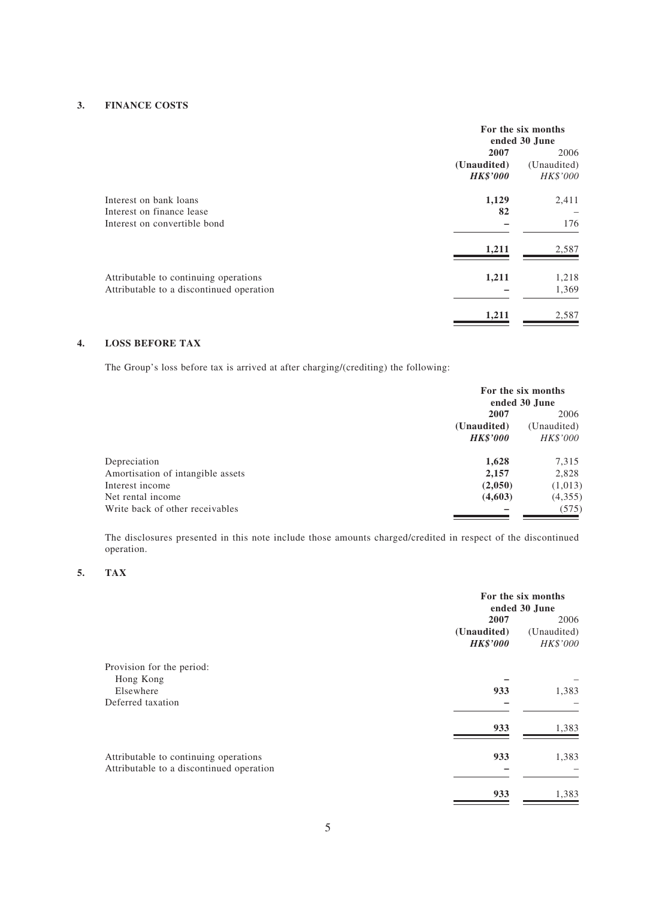### **3. FINANCE COSTS**

|                                                                                   | For the six months<br>ended 30 June |                     |  |
|-----------------------------------------------------------------------------------|-------------------------------------|---------------------|--|
|                                                                                   | 2007<br>(Unaudited)                 | 2006<br>(Unaudited) |  |
|                                                                                   | <b>HK\$'000</b>                     | HK\$'000            |  |
| Interest on bank loans                                                            | 1,129                               | 2,411               |  |
| Interest on finance lease<br>Interest on convertible bond                         | 82                                  | 176                 |  |
|                                                                                   | 1,211                               | 2,587               |  |
| Attributable to continuing operations<br>Attributable to a discontinued operation | 1,211                               | 1,218<br>1,369      |  |
|                                                                                   | 1,211                               | 2,587               |  |

# **4. LOSS BEFORE TAX**

The Group's loss before tax is arrived at after charging/(crediting) the following:

|                                   | For the six months<br>ended 30 June |                 |  |
|-----------------------------------|-------------------------------------|-----------------|--|
|                                   | 2007                                |                 |  |
|                                   | (Unaudited)                         | (Unaudited)     |  |
|                                   | <b>HK\$'000</b>                     | <i>HK\$'000</i> |  |
| Depreciation                      | 1,628                               | 7,315           |  |
| Amortisation of intangible assets | 2,157                               | 2,828           |  |
| Interest income                   | (2,050)                             | (1,013)         |  |
| Net rental income                 | (4,603)                             | (4,355)         |  |
| Write back of other receivables   |                                     | (575)           |  |

The disclosures presented in this note include those amounts charged/credited in respect of the discontinued operation.

### **5. TAX**

|                                                                                   | For the six months<br>ended 30 June |                     |  |
|-----------------------------------------------------------------------------------|-------------------------------------|---------------------|--|
|                                                                                   | 2007<br>(Unaudited)                 | 2006<br>(Unaudited) |  |
| Provision for the period:                                                         | <b>HK\$'000</b>                     | HK\$'000            |  |
| Hong Kong<br>Elsewhere                                                            | 933                                 | 1,383               |  |
| Deferred taxation                                                                 |                                     |                     |  |
|                                                                                   | 933                                 | 1,383               |  |
| Attributable to continuing operations<br>Attributable to a discontinued operation | 933                                 | 1,383               |  |
|                                                                                   | 933                                 | 1,383               |  |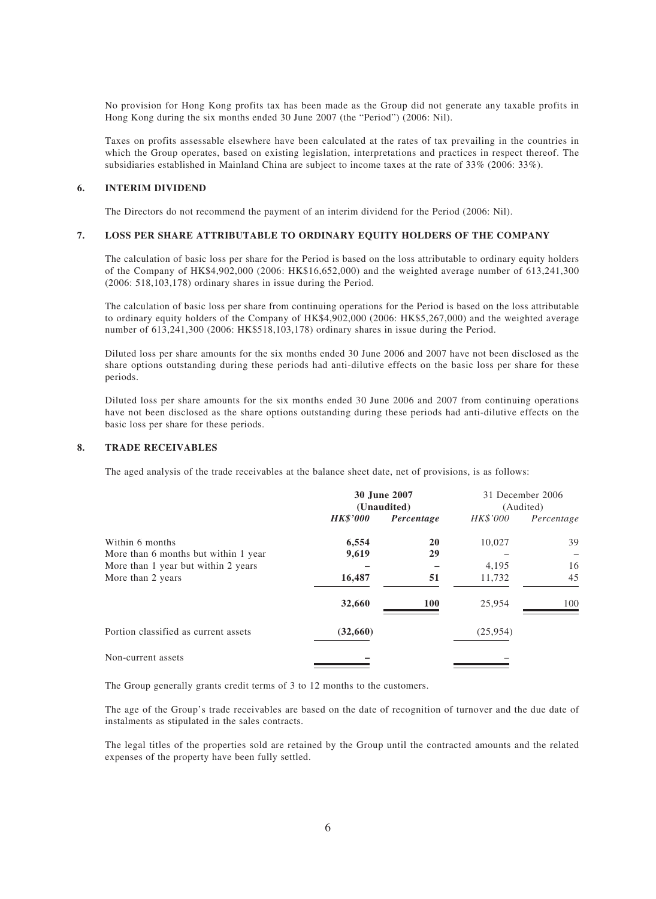No provision for Hong Kong profits tax has been made as the Group did not generate any taxable profits in Hong Kong during the six months ended 30 June 2007 (the "Period") (2006: Nil).

Taxes on profits assessable elsewhere have been calculated at the rates of tax prevailing in the countries in which the Group operates, based on existing legislation, interpretations and practices in respect thereof. The subsidiaries established in Mainland China are subject to income taxes at the rate of 33% (2006: 33%).

#### **6. INTERIM DIVIDEND**

The Directors do not recommend the payment of an interim dividend for the Period (2006: Nil).

#### **7. LOSS PER SHARE ATTRIBUTABLE TO ORDINARY EQUITY HOLDERS OF THE COMPANY**

The calculation of basic loss per share for the Period is based on the loss attributable to ordinary equity holders of the Company of HK\$4,902,000 (2006: HK\$16,652,000) and the weighted average number of 613,241,300 (2006: 518,103,178) ordinary shares in issue during the Period.

The calculation of basic loss per share from continuing operations for the Period is based on the loss attributable to ordinary equity holders of the Company of HK\$4,902,000 (2006: HK\$5,267,000) and the weighted average number of 613,241,300 (2006: HK\$518,103,178) ordinary shares in issue during the Period.

Diluted loss per share amounts for the six months ended 30 June 2006 and 2007 have not been disclosed as the share options outstanding during these periods had anti-dilutive effects on the basic loss per share for these periods.

Diluted loss per share amounts for the six months ended 30 June 2006 and 2007 from continuing operations have not been disclosed as the share options outstanding during these periods had anti-dilutive effects on the basic loss per share for these periods.

#### **8. TRADE RECEIVABLES**

The aged analysis of the trade receivables at the balance sheet date, net of provisions, is as follows:

|                                      |                 | 30 June 2007<br>(Unaudited) | 31 December 2006<br>(Audited) |            |  |
|--------------------------------------|-----------------|-----------------------------|-------------------------------|------------|--|
|                                      | <b>HK\$'000</b> | Percentage                  | HK\$'000                      | Percentage |  |
| Within 6 months                      | 6,554           | <b>20</b>                   | 10,027                        | 39         |  |
| More than 6 months but within 1 year | 9,619           | 29                          |                               |            |  |
| More than 1 year but within 2 years  |                 |                             | 4,195                         | 16         |  |
| More than 2 years                    | 16,487          | 51                          | 11,732                        | 45         |  |
|                                      | 32,660          | <b>100</b>                  | 25,954                        | 100        |  |
| Portion classified as current assets | (32,660)        |                             | (25,954)                      |            |  |
| Non-current assets                   |                 |                             |                               |            |  |

The Group generally grants credit terms of 3 to 12 months to the customers.

The age of the Group's trade receivables are based on the date of recognition of turnover and the due date of instalments as stipulated in the sales contracts.

The legal titles of the properties sold are retained by the Group until the contracted amounts and the related expenses of the property have been fully settled.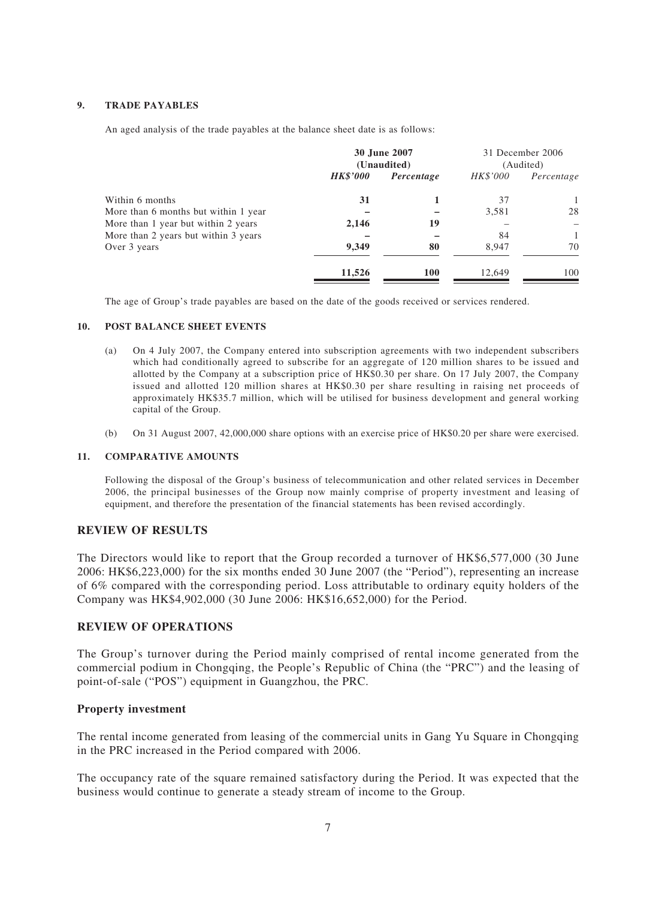#### **9. TRADE PAYABLES**

An aged analysis of the trade payables at the balance sheet date is as follows:

|                                      | 30 June 2007<br>(Unaudited) |            |          | 31 December 2006<br>(Audited) |
|--------------------------------------|-----------------------------|------------|----------|-------------------------------|
|                                      | <b>HK\$'000</b>             | Percentage | HK\$'000 | Percentage                    |
| Within 6 months                      | 31                          |            | 37       |                               |
| More than 6 months but within 1 year |                             |            | 3,581    | 28                            |
| More than 1 year but within 2 years  | 2,146                       | 19         |          |                               |
| More than 2 years but within 3 years |                             |            | 84       | 1                             |
| Over 3 years                         | 9,349                       | 80         | 8.947    | 70                            |
|                                      | 11,526                      | <b>100</b> | 12,649   | 100                           |

The age of Group's trade payables are based on the date of the goods received or services rendered.

#### **10. POST BALANCE SHEET EVENTS**

- (a) On 4 July 2007, the Company entered into subscription agreements with two independent subscribers which had conditionally agreed to subscribe for an aggregate of 120 million shares to be issued and allotted by the Company at a subscription price of HK\$0.30 per share. On 17 July 2007, the Company issued and allotted 120 million shares at HK\$0.30 per share resulting in raising net proceeds of approximately HK\$35.7 million, which will be utilised for business development and general working capital of the Group.
- (b) On 31 August 2007, 42,000,000 share options with an exercise price of HK\$0.20 per share were exercised.

#### **11. COMPARATIVE AMOUNTS**

Following the disposal of the Group's business of telecommunication and other related services in December 2006, the principal businesses of the Group now mainly comprise of property investment and leasing of equipment, and therefore the presentation of the financial statements has been revised accordingly.

#### **REVIEW OF RESULTS**

The Directors would like to report that the Group recorded a turnover of HK\$6,577,000 (30 June 2006: HK\$6,223,000) for the six months ended 30 June 2007 (the "Period"), representing an increase of 6% compared with the corresponding period. Loss attributable to ordinary equity holders of the Company was HK\$4,902,000 (30 June 2006: HK\$16,652,000) for the Period.

### **REVIEW OF OPERATIONS**

The Group's turnover during the Period mainly comprised of rental income generated from the commercial podium in Chongqing, the People's Republic of China (the "PRC") and the leasing of point-of-sale ("POS") equipment in Guangzhou, the PRC.

### **Property investment**

The rental income generated from leasing of the commercial units in Gang Yu Square in Chongqing in the PRC increased in the Period compared with 2006.

The occupancy rate of the square remained satisfactory during the Period. It was expected that the business would continue to generate a steady stream of income to the Group.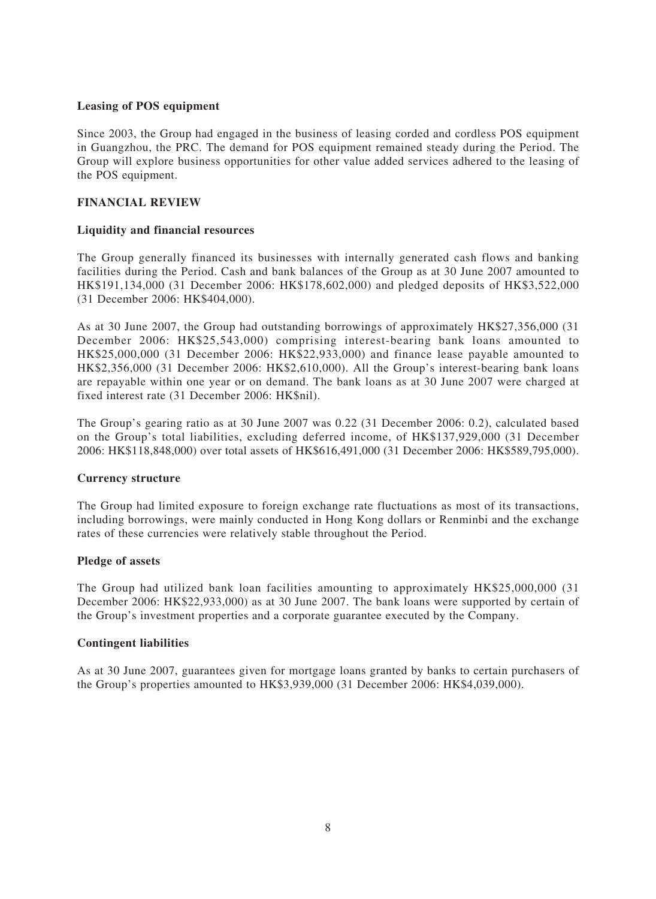# **Leasing of POS equipment**

Since 2003, the Group had engaged in the business of leasing corded and cordless POS equipment in Guangzhou, the PRC. The demand for POS equipment remained steady during the Period. The Group will explore business opportunities for other value added services adhered to the leasing of the POS equipment.

# **FINANCIAL REVIEW**

# **Liquidity and financial resources**

The Group generally financed its businesses with internally generated cash flows and banking facilities during the Period. Cash and bank balances of the Group as at 30 June 2007 amounted to HK\$191,134,000 (31 December 2006: HK\$178,602,000) and pledged deposits of HK\$3,522,000 (31 December 2006: HK\$404,000).

As at 30 June 2007, the Group had outstanding borrowings of approximately HK\$27,356,000 (31 December 2006: HK\$25,543,000) comprising interest-bearing bank loans amounted to HK\$25,000,000 (31 December 2006: HK\$22,933,000) and finance lease payable amounted to HK\$2,356,000 (31 December 2006: HK\$2,610,000). All the Group's interest-bearing bank loans are repayable within one year or on demand. The bank loans as at 30 June 2007 were charged at fixed interest rate (31 December 2006: HK\$nil).

The Group's gearing ratio as at 30 June 2007 was 0.22 (31 December 2006: 0.2), calculated based on the Group's total liabilities, excluding deferred income, of HK\$137,929,000 (31 December 2006: HK\$118,848,000) over total assets of HK\$616,491,000 (31 December 2006: HK\$589,795,000).

### **Currency structure**

The Group had limited exposure to foreign exchange rate fluctuations as most of its transactions, including borrowings, were mainly conducted in Hong Kong dollars or Renminbi and the exchange rates of these currencies were relatively stable throughout the Period.

# **Pledge of assets**

The Group had utilized bank loan facilities amounting to approximately HK\$25,000,000 (31 December 2006: HK\$22,933,000) as at 30 June 2007. The bank loans were supported by certain of the Group's investment properties and a corporate guarantee executed by the Company.

### **Contingent liabilities**

As at 30 June 2007, guarantees given for mortgage loans granted by banks to certain purchasers of the Group's properties amounted to HK\$3,939,000 (31 December 2006: HK\$4,039,000).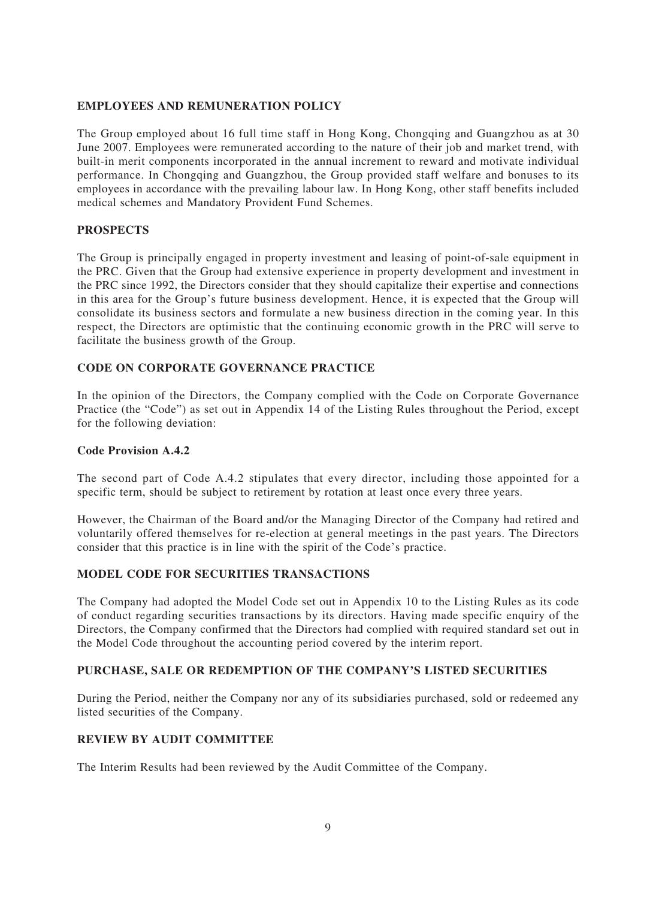# **EMPLOYEES AND REMUNERATION POLICY**

The Group employed about 16 full time staff in Hong Kong, Chongqing and Guangzhou as at 30 June 2007. Employees were remunerated according to the nature of their job and market trend, with built-in merit components incorporated in the annual increment to reward and motivate individual performance. In Chongqing and Guangzhou, the Group provided staff welfare and bonuses to its employees in accordance with the prevailing labour law. In Hong Kong, other staff benefits included medical schemes and Mandatory Provident Fund Schemes.

# **PROSPECTS**

The Group is principally engaged in property investment and leasing of point-of-sale equipment in the PRC. Given that the Group had extensive experience in property development and investment in the PRC since 1992, the Directors consider that they should capitalize their expertise and connections in this area for the Group's future business development. Hence, it is expected that the Group will consolidate its business sectors and formulate a new business direction in the coming year. In this respect, the Directors are optimistic that the continuing economic growth in the PRC will serve to facilitate the business growth of the Group.

# **CODE ON CORPORATE GOVERNANCE PRACTICE**

In the opinion of the Directors, the Company complied with the Code on Corporate Governance Practice (the "Code") as set out in Appendix 14 of the Listing Rules throughout the Period, except for the following deviation:

# **Code Provision A.4.2**

The second part of Code A.4.2 stipulates that every director, including those appointed for a specific term, should be subject to retirement by rotation at least once every three years.

However, the Chairman of the Board and/or the Managing Director of the Company had retired and voluntarily offered themselves for re-election at general meetings in the past years. The Directors consider that this practice is in line with the spirit of the Code's practice.

# **MODEL CODE FOR SECURITIES TRANSACTIONS**

The Company had adopted the Model Code set out in Appendix 10 to the Listing Rules as its code of conduct regarding securities transactions by its directors. Having made specific enquiry of the Directors, the Company confirmed that the Directors had complied with required standard set out in the Model Code throughout the accounting period covered by the interim report.

# **PURCHASE, SALE OR REDEMPTION OF THE COMPANY'S LISTED SECURITIES**

During the Period, neither the Company nor any of its subsidiaries purchased, sold or redeemed any listed securities of the Company.

### **REVIEW BY AUDIT COMMITTEE**

The Interim Results had been reviewed by the Audit Committee of the Company.